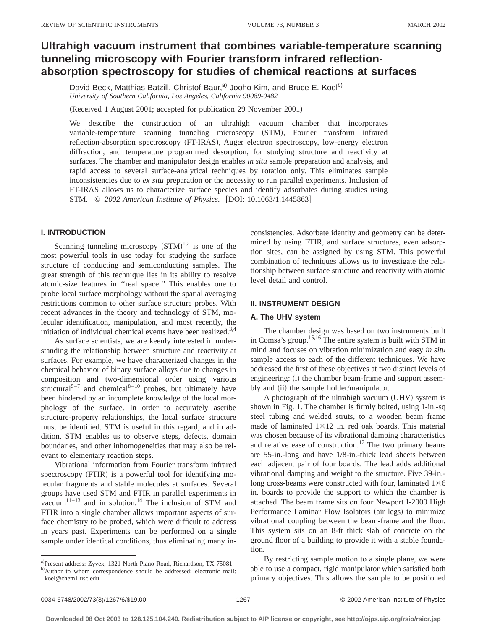# **Ultrahigh vacuum instrument that combines variable-temperature scanning tunneling microscopy with Fourier transform infrared reflectionabsorption spectroscopy for studies of chemical reactions at surfaces**

David Beck, Matthias Batzill, Christof Baur,<sup>a)</sup> Jooho Kim, and Bruce E. Koel<sup>b)</sup> *University of Southern California, Los Angeles, California 90089-0482*

(Received 1 August 2001; accepted for publication 29 November 2001)

We describe the construction of an ultrahigh vacuum chamber that incorporates variable-temperature scanning tunneling microscopy (STM), Fourier transform infrared reflection-absorption spectroscopy (FT-IRAS), Auger electron spectroscopy, low-energy electron diffraction, and temperature programmed desorption, for studying structure and reactivity at surfaces. The chamber and manipulator design enables *in situ* sample preparation and analysis, and rapid access to several surface-analytical techniques by rotation only. This eliminates sample inconsistencies due to *ex situ* preparation or the necessity to run parallel experiments. Inclusion of FT-IRAS allows us to characterize surface species and identify adsorbates during studies using STM. © 2002 American Institute of Physics. [DOI: 10.1063/1.1445863]

# **I. INTRODUCTION**

Scanning tunneling microscopy  $(STM)^{1,2}$  is one of the most powerful tools in use today for studying the surface structure of conducting and semiconducting samples. The great strength of this technique lies in its ability to resolve atomic-size features in ''real space.'' This enables one to probe local surface morphology without the spatial averaging restrictions common to other surface structure probes. With recent advances in the theory and technology of STM, molecular identification, manipulation, and most recently, the initiation of individual chemical events have been realized.<sup>3,4</sup>

As surface scientists, we are keenly interested in understanding the relationship between structure and reactivity at surfaces. For example, we have characterized changes in the chemical behavior of binary surface alloys due to changes in composition and two-dimensional order using various structural<sup>5-7</sup> and chemical<sup>8-10</sup> probes, but ultimately have been hindered by an incomplete knowledge of the local morphology of the surface. In order to accurately ascribe structure-property relationships, the local surface structure must be identified. STM is useful in this regard, and in addition, STM enables us to observe steps, defects, domain boundaries, and other inhomogeneities that may also be relevant to elementary reaction steps.

Vibrational information from Fourier transform infrared spectroscopy (FTIR) is a powerful tool for identifying molecular fragments and stable molecules at surfaces. Several groups have used STM and FTIR in parallel experiments in vacuum<sup>11-13</sup> and in solution.<sup>14</sup> The inclusion of STM and FTIR into a single chamber allows important aspects of surface chemistry to be probed, which were difficult to address in years past. Experiments can be performed on a single sample under identical conditions, thus eliminating many in-

a)Present address: Zyvex, 1321 North Plano Road, Richardson, TX 75081. b)Author to whom correspondence should be addressed; electronic mail: koel@chem1.usc.edu

consistencies. Adsorbate identity and geometry can be determined by using FTIR, and surface structures, even adsorption sites, can be assigned by using STM. This powerful combination of techniques allows us to investigate the relationship between surface structure and reactivity with atomic level detail and control.

## **II. INSTRUMENT DESIGN**

#### **A. The UHV system**

The chamber design was based on two instruments built in Comsa's group.15,16 The entire system is built with STM in mind and focuses on vibration minimization and easy *in situ* sample access to each of the different techniques. We have addressed the first of these objectives at two distinct levels of engineering: (i) the chamber beam-frame and support assembly and (ii) the sample holder/manipulator.

A photograph of the ultrahigh vacuum (UHV) system is shown in Fig. 1. The chamber is firmly bolted, using 1-in.-sq steel tubing and welded struts, to a wooden beam frame made of laminated  $1\times12$  in. red oak boards. This material was chosen because of its vibrational damping characteristics and relative ease of construction.<sup>17</sup> The two primary beams are 55-in.-long and have 1/8-in.-thick lead sheets between each adjacent pair of four boards. The lead adds additional vibrational damping and weight to the structure. Five 39-in. long cross-beams were constructed with four, laminated  $1\times6$ in. boards to provide the support to which the chamber is attached. The beam frame sits on four Newport I-2000 High Performance Laminar Flow Isolators (air legs) to minimize vibrational coupling between the beam-frame and the floor. This system sits on an 8-ft thick slab of concrete on the ground floor of a building to provide it with a stable foundation.

By restricting sample motion to a single plane, we were able to use a compact, rigid manipulator which satisfied both primary objectives. This allows the sample to be positioned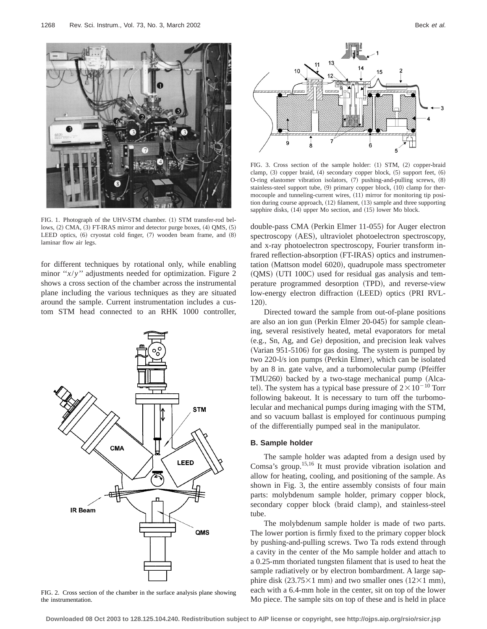

FIG. 1. Photograph of the UHV-STM chamber. (1) STM transfer-rod bellows, (2) CMA, (3) FT-IRAS mirror and detector purge boxes, (4) QMS, (5) LEED optics,  $(6)$  cryostat cold finger,  $(7)$  wooden beam frame, and  $(8)$ laminar flow air legs.

for different techniques by rotational only, while enabling minor "*x*/*y*" adjustments needed for optimization. Figure 2 shows a cross section of the chamber across the instrumental plane including the various techniques as they are situated around the sample. Current instrumentation includes a custom STM head connected to an RHK 1000 controller,



FIG. 2. Cross section of the chamber in the surface analysis plane showing the instrumentation.



FIG. 3. Cross section of the sample holder: (1) STM, (2) copper-braid clamp,  $(3)$  copper braid,  $(4)$  secondary copper block,  $(5)$  support feet,  $(6)$ O-ring elastomer vibration isolators,  $(7)$  pushing-and-pulling screws,  $(8)$ stainless-steel support tube,  $(9)$  primary copper block,  $(10)$  clamp for thermocouple and tunneling-current wires,  $(11)$  mirror for monitoring tip position during course approach,  $(12)$  filament,  $(13)$  sample and three supporting sapphire disks, (14) upper Mo section, and (15) lower Mo block.

double-pass CMA (Perkin Elmer 11-055) for Auger electron spectroscopy (AES), ultraviolet photoelectron spectroscopy, and x-ray photoelectron spectroscopy, Fourier transform infrared reflection-absorption (FT-IRAS) optics and instrumentation (Mattson model 6020), quadrupole mass spectrometer  $(QMS)$  (UTI 100C) used for residual gas analysis and temperature programmed desorption (TPD), and reverse-view low-energy electron diffraction (LEED) optics (PRI RVL-120).

Directed toward the sample from out-of-plane positions are also an ion gun (Perkin Elmer 20-045) for sample cleaning, several resistively heated, metal evaporators for metal (e.g., Sn, Ag, and Ge) deposition, and precision leak valves (Varian 951-5106) for gas dosing. The system is pumped by two 220-l/s ion pumps (Perkin Elmer), which can be isolated by an 8 in. gate valve, and a turbomolecular pump (Pfeiffer TMU260) backed by a two-stage mechanical pump (Alcatel). The system has a typical base pressure of  $2 \times 10^{-10}$  Torr following bakeout. It is necessary to turn off the turbomolecular and mechanical pumps during imaging with the STM, and so vacuum ballast is employed for continuous pumping of the differentially pumped seal in the manipulator.

#### **B. Sample holder**

The sample holder was adapted from a design used by Comsa's group.15,16 It must provide vibration isolation and allow for heating, cooling, and positioning of the sample. As shown in Fig. 3, the entire assembly consists of four main parts: molybdenum sample holder, primary copper block, secondary copper block (braid clamp), and stainless-steel tube.

The molybdenum sample holder is made of two parts. The lower portion is firmly fixed to the primary copper block by pushing-and-pulling screws. Two Ta rods extend through a cavity in the center of the Mo sample holder and attach to a 0.25-mm thoriated tungsten filament that is used to heat the sample radiatively or by electron bombardment. A large sapphire disk  $(23.75\times1$  mm) and two smaller ones  $(12\times1$  mm), each with a 6.4-mm hole in the center, sit on top of the lower Mo piece. The sample sits on top of these and is held in place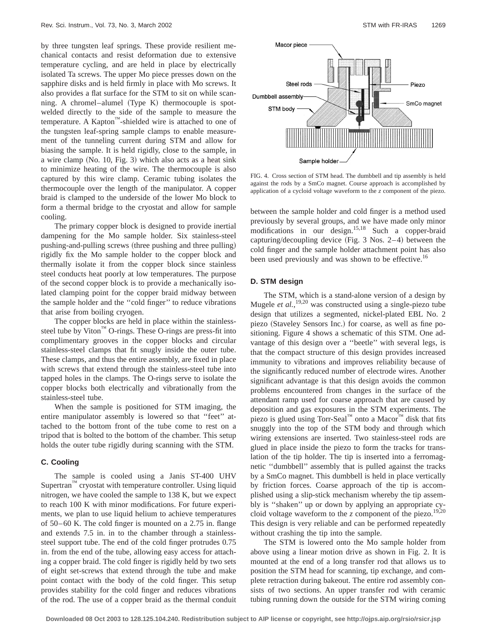by three tungsten leaf springs. These provide resilient mechanical contacts and resist deformation due to extensive temperature cycling, and are held in place by electrically isolated Ta screws. The upper Mo piece presses down on the sapphire disks and is held firmly in place with Mo screws. It also provides a flat surface for the STM to sit on while scanning. A chromel–alumel  $(Type K)$  thermocouple is spotwelded directly to the side of the sample to measure the temperature. A Kapton™-shielded wire is attached to one of the tungsten leaf-spring sample clamps to enable measurement of the tunneling current during STM and allow for biasing the sample. It is held rigidly, close to the sample, in a wire clamp  $(No. 10, Fig. 3)$  which also acts as a heat sink to minimize heating of the wire. The thermocouple is also captured by this wire clamp. Ceramic tubing isolates the thermocouple over the length of the manipulator. A copper braid is clamped to the underside of the lower Mo block to form a thermal bridge to the cryostat and allow for sample cooling.

The primary copper block is designed to provide inertial dampening for the Mo sample holder. Six stainless-steel pushing-and-pulling screws (three pushing and three pulling) rigidly fix the Mo sample holder to the copper block and thermally isolate it from the copper block since stainless steel conducts heat poorly at low temperatures. The purpose of the second copper block is to provide a mechanically isolated clamping point for the copper braid midway between the sample holder and the ''cold finger'' to reduce vibrations that arise from boiling cryogen.

The copper blocks are held in place within the stainlesssteel tube by Viton™ O-rings. These O-rings are press-fit into complimentary grooves in the copper blocks and circular stainless-steel clamps that fit snugly inside the outer tube. These clamps, and thus the entire assembly, are fixed in place with screws that extend through the stainless-steel tube into tapped holes in the clamps. The O-rings serve to isolate the copper blocks both electrically and vibrationally from the stainless-steel tube.

When the sample is positioned for STM imaging, the entire manipulator assembly is lowered so that ''feet'' attached to the bottom front of the tube come to rest on a tripod that is bolted to the bottom of the chamber. This setup holds the outer tube rigidly during scanning with the STM.

# **C. Cooling**

The sample is cooled using a Janis ST-400 UHV Supertran™ cryostat with temperature controller. Using liquid nitrogen, we have cooled the sample to 138 K, but we expect to reach 100 K with minor modifications. For future experiments, we plan to use liquid helium to achieve temperatures of 50–60 K. The cold finger is mounted on a 2.75 in. flange and extends 7.5 in. in to the chamber through a stainlesssteel support tube. The end of the cold finger protrudes 0.75 in. from the end of the tube, allowing easy access for attaching a copper braid. The cold finger is rigidly held by two sets of eight set-screws that extend through the tube and make point contact with the body of the cold finger. This setup provides stability for the cold finger and reduces vibrations of the rod. The use of a copper braid as the thermal conduit



FIG. 4. Cross section of STM head. The dumbbell and tip assembly is held against the rods by a SmCo magnet. Course approach is accomplished by application of a cycloid voltage waveform to the *z* component of the piezo.

between the sample holder and cold finger is a method used previously by several groups, and we have made only minor modifications in our design.15,18 Such a copper-braid capturing/decoupling device (Fig. 3 Nos. 2–4) between the cold finger and the sample holder attachment point has also been used previously and was shown to be effective.<sup>16</sup>

# **D. STM design**

The STM, which is a stand-alone version of a design by Mugele *et al.*,<sup>19,20</sup> was constructed using a single-piezo tube design that utilizes a segmented, nickel-plated EBL No. 2 piezo (Staveley Sensors Inc.) for coarse, as well as fine positioning. Figure 4 shows a schematic of this STM. One advantage of this design over a ''beetle'' with several legs, is that the compact structure of this design provides increased immunity to vibrations and improves reliability because of the significantly reduced number of electrode wires. Another significant advantage is that this design avoids the common problems encountered from changes in the surface of the attendant ramp used for coarse approach that are caused by deposition and gas exposures in the STM experiments. The piezo is glued using Torr-Seal™ onto a Macor<sup>™</sup> disk that fits snuggly into the top of the STM body and through which wiring extensions are inserted. Two stainless-steel rods are glued in place inside the piezo to form the tracks for translation of the tip holder. The tip is inserted into a ferromagnetic ''dumbbell'' assembly that is pulled against the tracks by a SmCo magnet. This dumbbell is held in place vertically by friction forces. Coarse approach of the tip is accomplished using a slip-stick mechanism whereby the tip assembly is ''shaken'' up or down by applying an appropriate cycloid voltage waveform to the  $z$  component of the piezo.<sup>19,20</sup> This design is very reliable and can be performed repeatedly without crashing the tip into the sample.

The STM is lowered onto the Mo sample holder from above using a linear motion drive as shown in Fig. 2. It is mounted at the end of a long transfer rod that allows us to position the STM head for scanning, tip exchange, and complete retraction during bakeout. The entire rod assembly consists of two sections. An upper transfer rod with ceramic tubing running down the outside for the STM wiring coming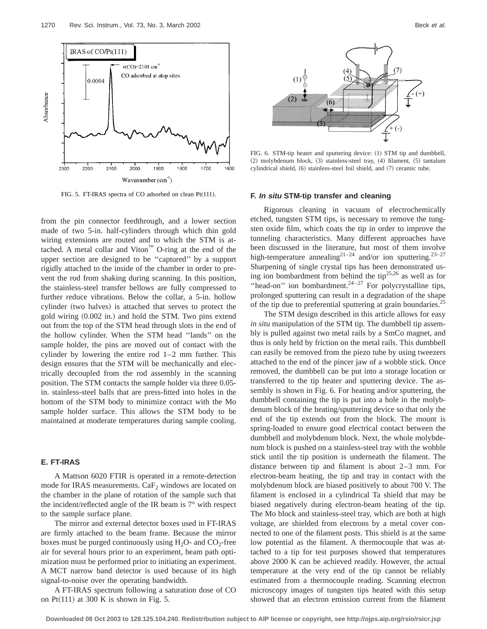

FIG. 5. FT-IRAS spectra of CO adsorbed on clean  $Pt(111)$ .

from the pin connector feedthrough, and a lower section made of two 5-in. half-cylinders through which thin gold wiring extensions are routed and to which the STM is attached. A metal collar and Viton<sup>™</sup> O-ring at the end of the upper section are designed to be ''captured'' by a support rigidly attached to the inside of the chamber in order to prevent the rod from shaking during scanning. In this position, the stainless-steel transfer bellows are fully compressed to further reduce vibrations. Below the collar, a 5-in. hollow cylinder (two halves) is attached that serves to protect the gold wiring  $(0.002 \text{ in.})$  and hold the STM. Two pins extend out from the top of the STM head through slots in the end of the hollow cylinder. When the STM head ''lands'' on the sample holder, the pins are moved out of contact with the cylinder by lowering the entire rod 1–2 mm further. This design ensures that the STM will be mechanically and electrically decoupled from the rod assembly in the scanning position. The STM contacts the sample holder via three 0.05 in. stainless-steel balls that are press-fitted into holes in the bottom of the STM body to minimize contact with the Mo sample holder surface. This allows the STM body to be maintained at moderate temperatures during sample cooling.

## **E. FT-IRAS**

A Mattson 6020 FTIR is operated in a remote-detection mode for IRAS measurements.  $CaF<sub>2</sub>$  windows are located on the chamber in the plane of rotation of the sample such that the incident/reflected angle of the IR beam is 7° with respect to the sample surface plane.

The mirror and external detector boxes used in FT-IRAS are firmly attached to the beam frame. Because the mirror boxes must be purged continuously using  $H_2O$ - and  $CO_2$ -free air for several hours prior to an experiment, beam path optimization must be performed prior to initiating an experiment. A MCT narrow band detector is used because of its high signal-to-noise over the operating bandwidth.

A FT-IRAS spectrum following a saturation dose of CO on Pt $(111)$  at 300 K is shown in Fig. 5.



FIG. 6. STM-tip heater and sputtering device: (1) STM tip and dumbbell,  $(2)$  molybdenum block,  $(3)$  stainless-steel tray,  $(4)$  filament,  $(5)$  tantalum cylindrical shield, (6) stainless-steel foil shield, and (7) ceramic tube.

## **F. In situ STM-tip transfer and cleaning**

Rigorous cleaning in vacuum of electrochemically etched, tungsten STM tips, is necessary to remove the tungsten oxide film, which coats the tip in order to improve the tunneling characteristics. Many different approaches have been discussed in the literature, but most of them involve high-temperature annealing<sup>21–24</sup> and/or ion sputtering.<sup>23–27</sup> Sharpening of single crystal tips has been demonstrated using ion bombardment from behind the tip<sup>25,26</sup> as well as for "head-on" ion bombardment. $24-27$  For polycrystalline tips, prolonged sputtering can result in a degradation of the shape of the tip due to preferential sputtering at grain boundaries.<sup>25</sup>

The STM design described in this article allows for easy *in situ* manipulation of the STM tip. The dumbbell tip assembly is pulled against two metal rails by a SmCo magnet, and thus is only held by friction on the metal rails. This dumbbell can easily be removed from the piezo tube by using tweezers attached to the end of the pincer jaw of a wobble stick. Once removed, the dumbbell can be put into a storage location or transferred to the tip heater and sputtering device. The assembly is shown in Fig. 6. For heating and/or sputtering, the dumbbell containing the tip is put into a hole in the molybdenum block of the heating/sputtering device so that only the end of the tip extends out from the block. The mount is spring-loaded to ensure good electrical contact between the dumbbell and molybdenum block. Next, the whole molybdenum block is pushed on a stainless-steel tray with the wobble stick until the tip position is underneath the filament. The distance between tip and filament is about 2–3 mm. For electron-beam heating, the tip and tray in contact with the molybdenum block are biased positively to about 700 V. The filament is enclosed in a cylindrical Ta shield that may be biased negatively during electron-beam heating of the tip. The Mo block and stainless-steel tray, which are both at high voltage, are shielded from electrons by a metal cover connected to one of the filament posts. This shield is at the same low potential as the filament. A thermocouple that was attached to a tip for test purposes showed that temperatures above 2000 K can be achieved readily. However, the actual temperature at the very end of the tip cannot be reliably estimated from a thermocouple reading. Scanning electron microscopy images of tungsten tips heated with this setup showed that an electron emission current from the filament

**Downloaded 08 Oct 2003 to 128.125.104.240. Redistribution subject to AIP license or copyright, see http://ojps.aip.org/rsio/rsicr.jsp**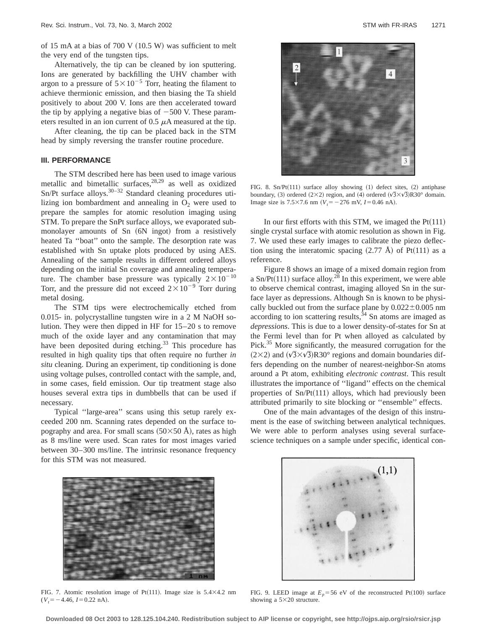of 15 mA at a bias of 700 V  $(10.5 W)$  was sufficient to melt the very end of the tungsten tips.

Alternatively, the tip can be cleaned by ion sputtering. Ions are generated by backfilling the UHV chamber with argon to a pressure of  $5 \times 10^{-5}$  Torr, heating the filament to achieve thermionic emission, and then biasing the Ta shield positively to about 200 V. Ions are then accelerated toward the tip by applying a negative bias of  $-500$  V. These parameters resulted in an ion current of  $0.5 \mu A$  measured at the tip.

After cleaning, the tip can be placed back in the STM head by simply reversing the transfer routine procedure.

# **III. PERFORMANCE**

The STM described here has been used to image various metallic and bimetallic surfaces,<sup>28,29</sup> as well as oxidized  $Sn/Pt$  surface alloys.<sup>30–32</sup> Standard cleaning procedures utilizing ion bombardment and annealing in  $O<sub>2</sub>$  were used to prepare the samples for atomic resolution imaging using STM. To prepare the SnPt surface alloys, we evaporated submonolayer amounts of Sn (6N ingot) from a resistively heated Ta ''boat'' onto the sample. The desorption rate was established with Sn uptake plots produced by using AES. Annealing of the sample results in different ordered alloys depending on the initial Sn coverage and annealing temperature. The chamber base pressure was typically  $2 \times 10^{-10}$ Torr, and the pressure did not exceed  $2 \times 10^{-9}$  Torr during metal dosing.

The STM tips were electrochemically etched from 0.015- in. polycrystalline tungsten wire in a 2 M NaOH solution. They were then dipped in HF for 15–20 s to remove much of the oxide layer and any contamination that may have been deposited during etching.<sup>33</sup> This procedure has resulted in high quality tips that often require no further *in situ* cleaning. During an experiment, tip conditioning is done using voltage pulses, controlled contact with the sample, and, in some cases, field emission. Our tip treatment stage also houses several extra tips in dumbbells that can be used if necessary.

Typical ''large-area'' scans using this setup rarely exceeded 200 nm. Scanning rates depended on the surface topography and area. For small scans  $(50\times50 \text{ Å})$ , rates as high as 8 ms/line were used. Scan rates for most images varied between 30–300 ms/line. The intrinsic resonance frequency for this STM was not measured.



FIG. 8.  $Sn/Pt(111)$  surface alloy showing  $(1)$  defect sites,  $(2)$  antiphase boundary, (3) ordered ( $2\times2$ ) region, and (4) ordered ( $\sqrt{3}\times\sqrt{3}$ )R30° domain. Image size is 7.5×7.6 nm  $(V_t = -276 \text{ mV}, I = 0.46 \text{ nA}).$ 

In our first efforts with this STM, we imaged the  $Pt(111)$ single crystal surface with atomic resolution as shown in Fig. 7. We used these early images to calibrate the piezo deflection using the interatomic spacing  $(2.77 \text{ Å})$  of Pt $(111)$  as a reference.

Figure 8 shows an image of a mixed domain region from a Sn/Pt(111) surface alloy.<sup>28</sup> In this experiment, we were able to observe chemical contrast, imaging alloyed Sn in the surface layer as depressions. Although Sn is known to be physically buckled out from the surface plane by  $0.022 \pm 0.005$  nm according to ion scattering results, $34$  Sn atoms are imaged as *depressions*. This is due to a lower density-of-states for Sn at the Fermi level than for Pt when alloyed as calculated by Pick.<sup>35</sup> More significantly, the measured corrugation for the  $(2\times2)$  and  $(\sqrt{3}\times\sqrt{3})R30^\circ$  regions and domain boundaries differs depending on the number of nearest-neighbor-Sn atoms around a Pt atom, exhibiting *electronic contrast*. This result illustrates the importance of ''ligand'' effects on the chemical properties of  $Sn/Pt(111)$  alloys, which had previously been attributed primarily to site blocking or ''ensemble'' effects.

One of the main advantages of the design of this instrument is the ease of switching between analytical techniques. We were able to perform analyses using several surfacescience techniques on a sample under specific, identical con-



FIG. 7. Atomic resolution image of Pt(111). Image size is  $5.4\times4.2$  nm  $(V_t = -4.46, I = 0.22 \text{ nA}).$ 



FIG. 9. LEED image at  $E_p = 56$  eV of the reconstructed Pt(100) surface showing a  $5\times20$  structure.

**Downloaded 08 Oct 2003 to 128.125.104.240. Redistribution subject to AIP license or copyright, see http://ojps.aip.org/rsio/rsicr.jsp**